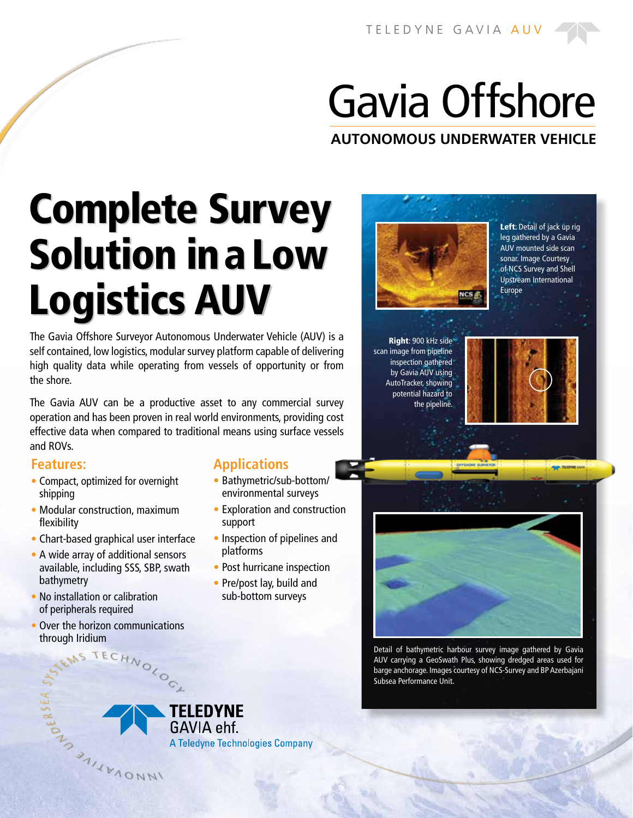# Gavia Offshore

**AUTONOMOUS UNDERWATER VEHICLE**

Complete Survey Solution in a Low Logistics AUV

The Gavia Offshore Surveyor Autonomous Underwater Vehicle (AUV) is a self contained, low logistics, modular survey platform capable of delivering high quality data while operating from vessels of opportunity or from the shore.

The Gavia AUV can be a productive asset to any commercial survey operation and has been proven in real world environments, providing cost effective data when compared to traditional means using surface vessels and ROVs.

#### **Features:**

- **•** Compact, optimized for overnight shipping
- **•** Modular construction, maximum flexibility
- **•** Chart-based graphical user interface
- **•** A wide array of additional sensors available, including SSS, SBP, swath bathymetry
- **•** No installation or calibration of peripherals required

CONTRACTES AND AND AND AND ASSESSMENT OF THE REAL PARTY.

**•** Over the horizon communications through Iridium<br>ENS TECHNOLOGY

## **Applications**

- Bathymetric/sub-bottom/ environmental surveys
- Exploration and construction support
- Inspection of pipelines and platforms
- Post hurricane inspection
- Pre/post lay, build and sub-bottom surveys



Left: Detail of jack up rig leg gathered by a Gavia AUV mounted side scan sonar. Image Courtesy of NCS Survey and Shell Upstream International Europe

Right: 900 kHz side scan image from pipeline inspection gathered by Gavia AUV using AutoTracker, showing potential hazard to the pipeline.





Detail of bathymetric harbour survey image gathered by Gavia AUV carrying a GeoSwath Plus, showing dredged areas used for barge anchorage. Images courtesy of NCS-Survey and BP Azerbajani Subsea Performance Unit.

**TELEDYNE** GAVIA ehf.

A Teledyne Technologies Company